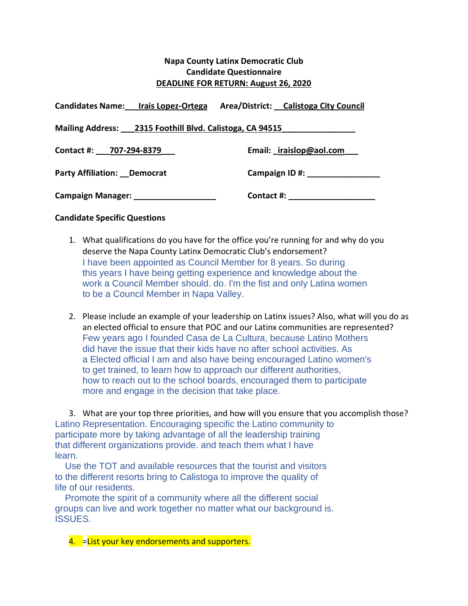# **Napa County Latinx Democratic Club Candidate Questionnaire DEADLINE FOR RETURN: August 26, 2020**

| Candidates Name: Irais Lopez-Ortega                      | Area/District: Calistoga City Council |
|----------------------------------------------------------|---------------------------------------|
| Mailing Address: 2315 Foothill Blvd. Calistoga, CA 94515 |                                       |
| Contact #: 707-294-8379                                  | Email: iraislop@aol.com               |
| <b>Party Affiliation: Democrat</b>                       | Campaign ID #:                        |
| Campaign Manager: _____________________                  | Contact #:                            |

### **Candidate Specific Questions**

- 1. What qualifications do you have for the office you're running for and why do you deserve the Napa County Latinx Democratic Club's endorsement? I have been appointed as Council Member for 8 years. So during this years I have being getting experience and knowledge about the work a Council Member should. do. I'm the fist and only Latina women to be a Council Member in Napa Valley.
- 2. Please include an example of your leadership on Latinx issues? Also, what will you do as an elected official to ensure that POC and our Latinx communities are represented? Few years ago I founded Casa de La Cultura, because Latino Mothers did have the issue that their kids have no after school activities. As a Elected official I am and also have being encouraged Latino women's to get trained, to learn how to approach our different authorities, how to reach out to the school boards, encouraged them to participate more and engage in the decision that take place.

3. What are your top three priorities, and how will you ensure that you accomplish those? Latino Representation. Encouraging specific the Latino community to participate more by taking advantage of all the leadership training that different organizations provide. and teach them what I have learn.

Use the TOT and available resources that the tourist and visitors to the different resorts bring to Calistoga to improve the quality of life of our residents.

Promote the spirit of a community where all the different social groups can live and work together no matter what our background is. ISSUES.

4. = List your key endorsements and supporters.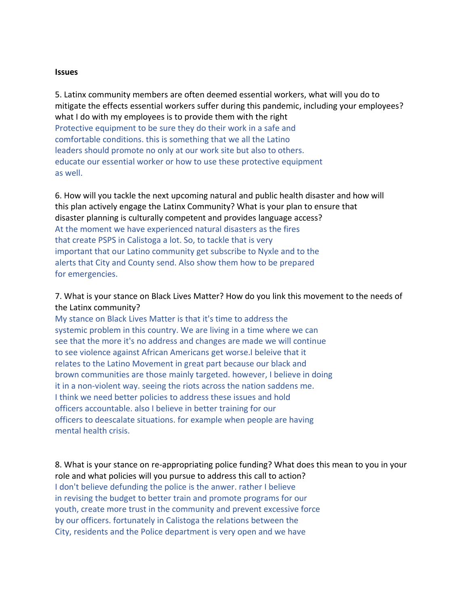#### **Issues**

5. Latinx community members are often deemed essential workers, what will you do to mitigate the effects essential workers suffer during this pandemic, including your employees? what I do with my employees is to provide them with the right Protective equipment to be sure they do their work in a safe and comfortable conditions. this is something that we all the Latino leaders should promote no only at our work site but also to others. educate our essential worker or how to use these protective equipment as well.

6. How will you tackle the next upcoming natural and public health disaster and how will this plan actively engage the Latinx Community? What is your plan to ensure that disaster planning is culturally competent and provides language access? At the moment we have experienced natural disasters as the fires that create PSPS in Calistoga a lot. So, to tackle that is very important that our Latino community get subscribe to Nyxle and to the alerts that City and County send. Also show them how to be prepared for emergencies.

# 7. What is your stance on Black Lives Matter? How do you link this movement to the needs of the Latinx community?

My stance on Black Lives Matter is that it's time to address the systemic problem in this country. We are living in a time where we can see that the more it's no address and changes are made we will continue to see violence against African Americans get worse.I beleive that it relates to the Latino Movement in great part because our black and brown communities are those mainly targeted. however, I believe in doing it in a non-violent way. seeing the riots across the nation saddens me. I think we need better policies to address these issues and hold officers accountable. also I believe in better training for our officers to deescalate situations. for example when people are having mental health crisis.

8. What is your stance on re-appropriating police funding? What does this mean to you in your role and what policies will you pursue to address this call to action? I don't believe defunding the police is the anwer. rather I believe in revising the budget to better train and promote programs for our youth, create more trust in the community and prevent excessive force by our officers. fortunately in Calistoga the relations between the City, residents and the Police department is very open and we have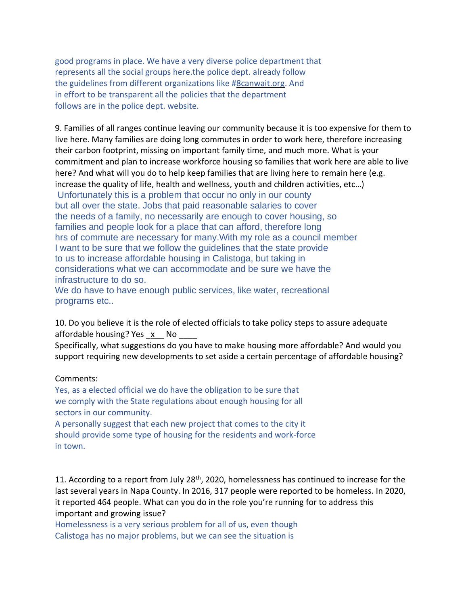good programs in place. We have a very diverse police department that represents all the social groups here.the police dept. already follow the guidelines from different organizations like [#8canwait.org.](http://8canwait.org/) And in effort to be transparent all the policies that the department follows are in the police dept. website.

9. Families of all ranges continue leaving our community because it is too expensive for them to live here. Many families are doing long commutes in order to work here, therefore increasing their carbon footprint, missing on important family time, and much more. What is your commitment and plan to increase workforce housing so families that work here are able to live here? And what will you do to help keep families that are living here to remain here (e.g. increase the quality of life, health and wellness, youth and children activities, etc…)

Unfortunately this is a problem that occur no only in our county but all over the state. Jobs that paid reasonable salaries to cover the needs of a family, no necessarily are enough to cover housing, so families and people look for a place that can afford, therefore long hrs of commute are necessary for many.With my role as a council member I want to be sure that we follow the guidelines that the state provide to us to increase affordable housing in Calistoga, but taking in considerations what we can accommodate and be sure we have the infrastructure to do so.

We do have to have enough public services, like water, recreational programs etc..

10. Do you believe it is the role of elected officials to take policy steps to assure adequate affordable housing? Yes x No

Specifically, what suggestions do you have to make housing more affordable? And would you support requiring new developments to set aside a certain percentage of affordable housing?

#### Comments:

Yes, as a elected official we do have the obligation to be sure that we comply with the State regulations about enough housing for all sectors in our community.

A personally suggest that each new project that comes to the city it should provide some type of housing for the residents and work-force in town.

11. According to a report from July 28<sup>th</sup>, 2020, homelessness has continued to increase for the last several years in Napa County. In 2016, 317 people were reported to be homeless. In 2020, it reported 464 people. What can you do in the role you're running for to address this important and growing issue?

Homelessness is a very serious problem for all of us, even though Calistoga has no major problems, but we can see the situation is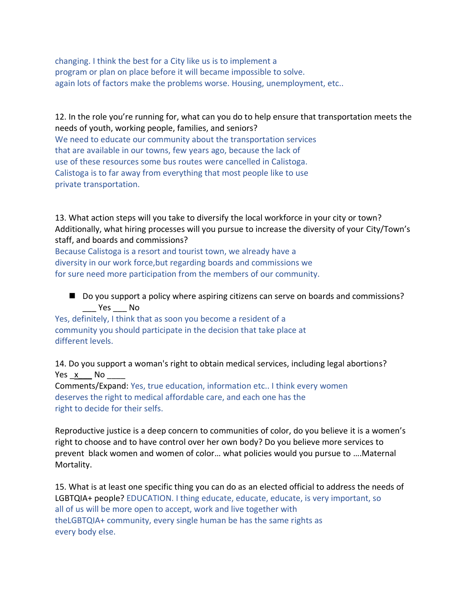changing. I think the best for a City like us is to implement a program or plan on place before it will became impossible to solve. again lots of factors make the problems worse. Housing, unemployment, etc..

## 12. In the role you're running for, what can you do to help ensure that transportation meets the needs of youth, working people, families, and seniors?

We need to educate our community about the transportation services that are available in our towns, few years ago, because the lack of use of these resources some bus routes were cancelled in Calistoga. Calistoga is to far away from everything that most people like to use private transportation.

13. What action steps will you take to diversify the local workforce in your city or town? Additionally, what hiring processes will you pursue to increase the diversity of your City/Town's staff, and boards and commissions?

Because Calistoga is a resort and tourist town, we already have a diversity in our work force,but regarding boards and commissions we for sure need more participation from the members of our community.

■ Do you support a policy where aspiring citizens can serve on boards and commissions? \_\_\_ Yes \_\_\_ No

Yes, definitely, I think that as soon you become a resident of a community you should participate in the decision that take place at different levels.

14. Do you support a woman's right to obtain medical services, including legal abortions? Yes x No

Comments/Expand: Yes, true education, information etc.. I think every women deserves the right to medical affordable care, and each one has the right to decide for their selfs.

Reproductive justice is a deep concern to communities of color, do you believe it is a women's right to choose and to have control over her own body? Do you believe more services to prevent black women and women of color… what policies would you pursue to ….Maternal Mortality.

15. What is at least one specific thing you can do as an elected official to address the needs of LGBTQIA+ people? EDUCATION. I thing educate, educate, educate, is very important, so all of us will be more open to accept, work and live together with theLGBTQIA+ community, every single human be has the same rights as every body else.